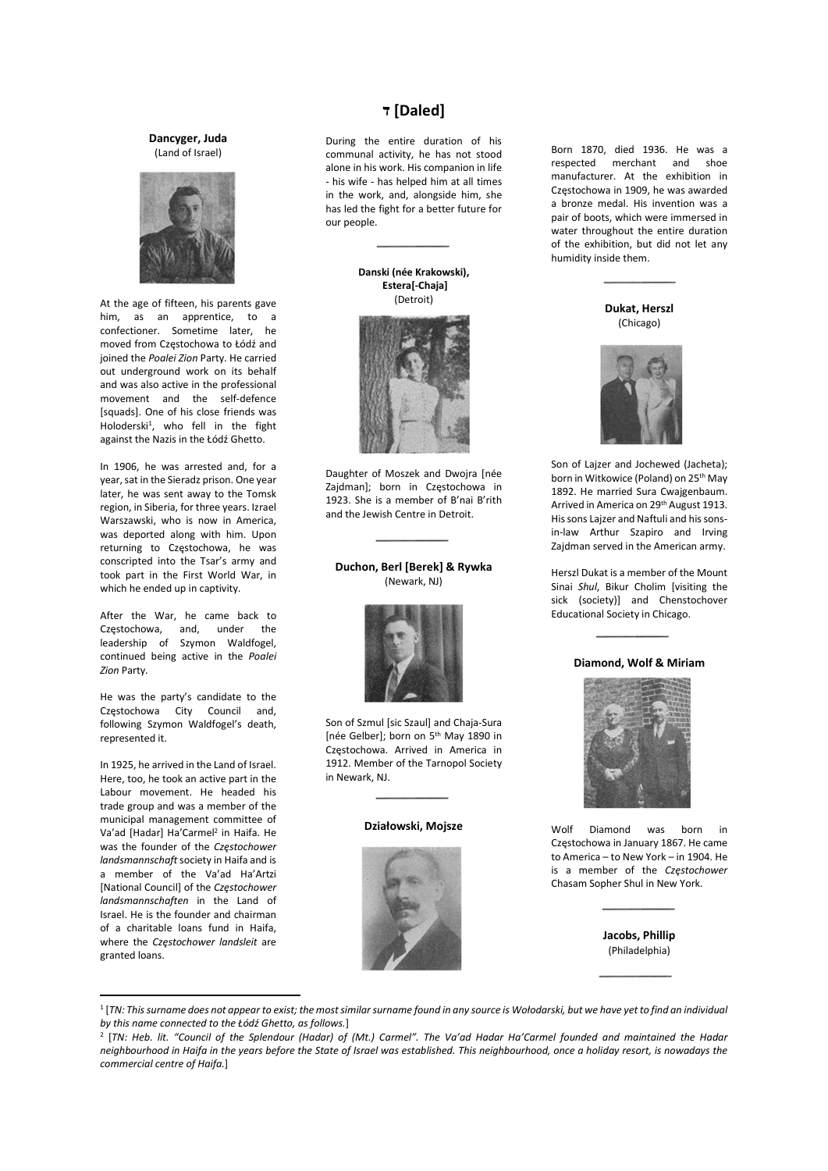#### Dancyger, Juda (Land of Israel)



At the age of fifteen, his parents gave him, as an apprentice, to a confectioner. Sometime later, he moved from Częstochowa to Łódź and joined the Poalei Zion Party. He carried out underground work on its behalf and was also active in the professional movement and the self-defence [squads]. One of his close friends was Holoderski<sup>1</sup>, who fell in the fight against the Nazis in the Łódź Ghetto.

In 1906, he was arrested and, for a year, sat in the Sieradz prison. One year later, he was sent away to the Tomsk region, in Siberia, for three years. Izrael Warszawski, who is now in America, was deported along with him. Upon returning to Częstochowa, he was conscripted into the Tsar's army and took part in the First World War, in which he ended up in captivity.

After the War, he came back to Częstochowa, and, under the leadership of Szymon Waldfogel, continued being active in the Poalei Zion Party.

He was the party's candidate to the Częstochowa City Council and, following Szymon Waldfogel's death, represented it.

In 1925, he arrived in the Land of Israel. Here, too, he took an active part in the Labour movement. He headed his trade group and was a member of the municipal management committee of Va'ad [Hadar] Ha'Carmel<sup>2</sup> in Haifa. He was the founder of the Częstochower landsmannschaft society in Haifa and is a member of the Va'ad Ha'Artzi [National Council] of the Częstochower landsmannschaften in the Land of Israel. He is the founder and chairman of a charitable loans fund in Haifa, where the Częstochower landsleit are granted loans.

# [Daled [ד

During the entire duration of his communal activity, he has not stood alone in his work. His companion in life - his wife - has helped him at all times in the work, and, alongside him, she has led the fight for a better future for our people.

#### Danski (née Krakowski), Estera[-Chaja] (Detroit)



Daughter of Moszek and Dwojra [née Zajdman]; born in Częstochowa in 1923. She is a member of B'nai B'rith and the Jewish Centre in Detroit.

# Duchon, Berl [Berek] & Rywka (Newark, NJ)



Son of Szmul [sic Szaul] and Chaja-Sura [née Gelber]; born on 5th May 1890 in Częstochowa. Arrived in America in 1912. Member of the Tarnopol Society in Newark, NJ.

# Działowski, Mojsze



Born 1870, died 1936. He was a respected merchant and shoe manufacturer. At the exhibition in Częstochowa in 1909, he was awarded a bronze medal. His invention was a pair of boots, which were immersed in water throughout the entire duration of the exhibition, but did not let any humidity inside them.

Dukat, Herszl (Chicago)



Son of Lajzer and Jochewed (Jacheta); born in Witkowice (Poland) on 25<sup>th</sup> May 1892. He married Sura Cwajgenbaum. Arrived in America on 29th August 1913. His sons Lajzer and Naftuli and his sonsin-law Arthur Szapiro and Irving Zajdman served in the American army.

Herszl Dukat is a member of the Mount Sinai Shul, Bikur Cholim [visiting the sick (society)] and Chenstochover Educational Society in Chicago.

# Diamond, Wolf & Miriam



Wolf Diamond was born in Częstochowa in January 1867. He came to America – to New York – in 1904. He is a member of the Częstochower Chasam Sopher Shul in New York.

> Jacobs, Phillip (Philadelphia)

<sup>1</sup> [TN: This surname does not appear to exist; the most similar surname found in any source is Wołodarski, but we have yet to find an individual by this name connected to the Łódź Ghetto, as follows.]

<sup>2</sup> [TN: Heb. lit. "Council of the Splendour (Hadar) of (Mt.) Carmel". The Va'ad Hadar Ha'Carmel founded and maintained the Hadar neighbourhood in Haifa in the years before the State of Israel was established. This neighbourhood, once a holiday resort, is nowadays the commercial centre of Haifa.]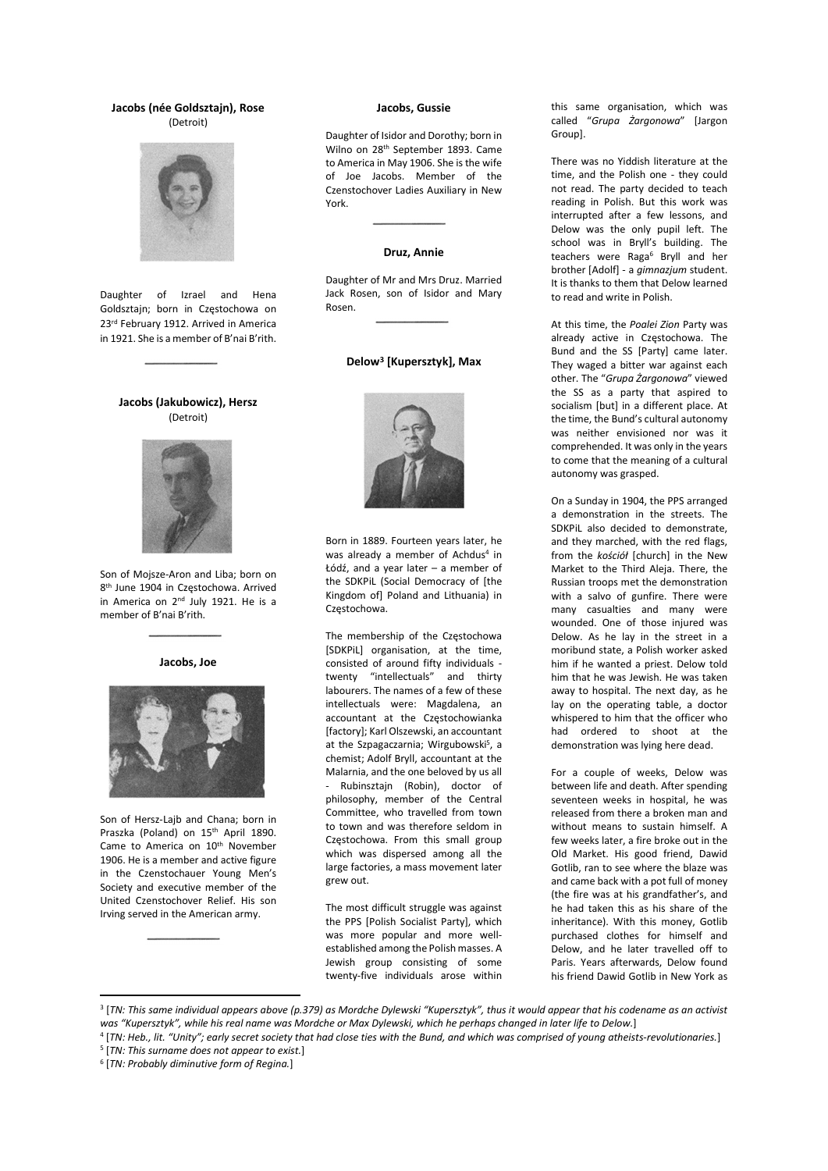## Jacobs (née Goldsztajn), Rose (Detroit)



Daughter of Izrael and Hena Goldsztajn; born in Częstochowa on 23rd February 1912. Arrived in America in 1921. She is a member of B'nai B'rith.

# Jacobs (Jakubowicz), Hersz (Detroit)



Son of Mojsze-Aron and Liba; born on 8 th June 1904 in Częstochowa. Arrived in America on 2<sup>nd</sup> July 1921. He is a member of B'nai B'rith.

#### Jacobs, Joe



Son of Hersz-Lajb and Chana; born in Praszka (Poland) on 15th April 1890. Came to America on 10<sup>th</sup> November 1906. He is a member and active figure in the Czenstochauer Young Men's Society and executive member of the United Czenstochover Relief. His son Irving served in the American army.

#### Jacobs, Gussie

Daughter of Isidor and Dorothy; born in Wilno on 28th September 1893. Came to America in May 1906. She is the wife of Joe Jacobs. Member of the Czenstochover Ladies Auxiliary in New York.

### Druz, Annie

Daughter of Mr and Mrs Druz. Married Jack Rosen, son of Isidor and Mary Rosen.

#### Delow<sup>3</sup> [Kupersztyk], Max



Born in 1889. Fourteen years later, he was already a member of Achdus<sup>4</sup> in Łódź, and a year later – a member of the SDKPiL (Social Democracy of [the Kingdom of] Poland and Lithuania) in Częstochowa.

The membership of the Częstochowa [SDKPiL] organisation, at the time, consisted of around fifty individuals twenty "intellectuals" and thirty labourers. The names of a few of these intellectuals were: Magdalena, an accountant at the Częstochowianka [factory]; Karl Olszewski, an accountant at the Szpagaczarnia; Wirgubowski<sup>5</sup>, a chemist; Adolf Bryll, accountant at the Malarnia, and the one beloved by us all - Rubinsztajn (Robin), doctor of philosophy, member of the Central Committee, who travelled from town to town and was therefore seldom in Częstochowa. From this small group which was dispersed among all the large factories, a mass movement later grew out.

The most difficult struggle was against the PPS [Polish Socialist Party], which was more popular and more wellestablished among the Polish masses. A Jewish group consisting of some twenty-five individuals arose within

this same organisation, which was called "Grupa Żargonowa" [Jargon Group].

There was no Yiddish literature at the time, and the Polish one - they could not read. The party decided to teach reading in Polish. But this work was interrupted after a few lessons, and Delow was the only pupil left. The school was in Bryll's building. The teachers were Raga<sup>6</sup> Bryll and her brother [Adolf] - a gimnazjum student. It is thanks to them that Delow learned to read and write in Polish.

At this time, the Poalei Zion Party was already active in Częstochowa. The Bund and the SS [Party] came later. They waged a bitter war against each other. The "Grupa Żargonowa" viewed the SS as a party that aspired to socialism [but] in a different place. At the time, the Bund's cultural autonomy was neither envisioned nor was it comprehended. It was only in the years to come that the meaning of a cultural autonomy was grasped.

On a Sunday in 1904, the PPS arranged a demonstration in the streets. The SDKPiL also decided to demonstrate, and they marched, with the red flags, from the kościół [church] in the New Market to the Third Aleja. There, the Russian troops met the demonstration with a salvo of gunfire. There were many casualties and many were wounded. One of those injured was Delow. As he lay in the street in a moribund state, a Polish worker asked him if he wanted a priest. Delow told him that he was Jewish. He was taken away to hospital. The next day, as he lay on the operating table, a doctor whispered to him that the officer who had ordered to shoot at the demonstration was lying here dead.

For a couple of weeks, Delow was between life and death. After spending seventeen weeks in hospital, he was released from there a broken man and without means to sustain himself. A few weeks later, a fire broke out in the Old Market. His good friend, Dawid Gotlib, ran to see where the blaze was and came back with a pot full of money (the fire was at his grandfather's, and he had taken this as his share of the inheritance). With this money, Gotlib purchased clothes for himself and Delow, and he later travelled off to Paris. Years afterwards, Delow found his friend Dawid Gotlib in New York as

<sup>3</sup> [TN: This same individual appears above (p.379) as Mordche Dylewski "Kupersztyk", thus it would appear that his codename as an activist was "Kupersztyk", while his real name was Mordche or Max Dylewski, which he perhaps changed in later life to Delow.]

<sup>4</sup> [TN: Heb., lit. "Unity"; early secret society that had close ties with the Bund, and which was comprised of young atheists‐revolutionaries.] <sup>5</sup> [TN: This surname does not appear to exist.]

<sup>&</sup>lt;sup>6</sup> [TN: Probably diminutive form of Regina.]